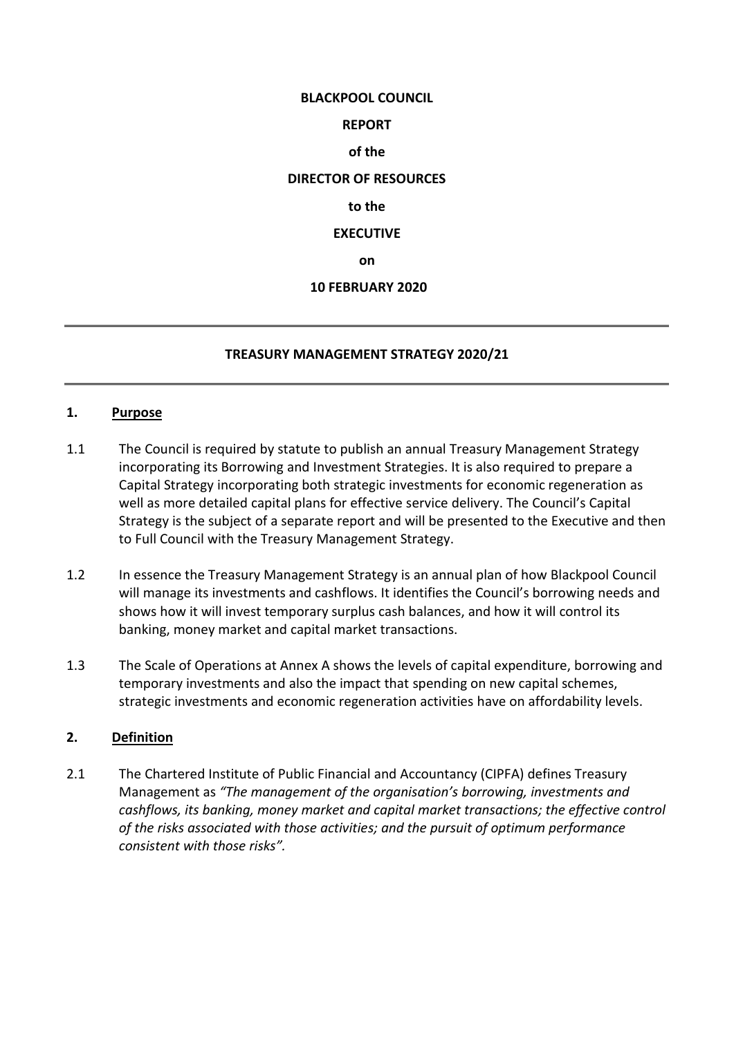#### **BLACKPOOL COUNCIL**

### **REPORT**

## **of the**

### **DIRECTOR OF RESOURCES**

#### **to the**

### **EXECUTIVE**

**on**

### **10 FEBRUARY 2020**

### **TREASURY MANAGEMENT STRATEGY 2020/21**

#### **1. Purpose**

- 1.1 The Council is required by statute to publish an annual Treasury Management Strategy incorporating its Borrowing and Investment Strategies. It is also required to prepare a Capital Strategy incorporating both strategic investments for economic regeneration as well as more detailed capital plans for effective service delivery. The Council's Capital Strategy is the subject of a separate report and will be presented to the Executive and then to Full Council with the Treasury Management Strategy.
- 1.2 In essence the Treasury Management Strategy is an annual plan of how Blackpool Council will manage its investments and cashflows. It identifies the Council's borrowing needs and shows how it will invest temporary surplus cash balances, and how it will control its banking, money market and capital market transactions.
- 1.3 The Scale of Operations at Annex A shows the levels of capital expenditure, borrowing and temporary investments and also the impact that spending on new capital schemes, strategic investments and economic regeneration activities have on affordability levels.

## **2. Definition**

2.1 The Chartered Institute of Public Financial and Accountancy (CIPFA) defines Treasury Management as *"The management of the organisation's borrowing, investments and cashflows, its banking, money market and capital market transactions; the effective control of the risks associated with those activities; and the pursuit of optimum performance consistent with those risks".*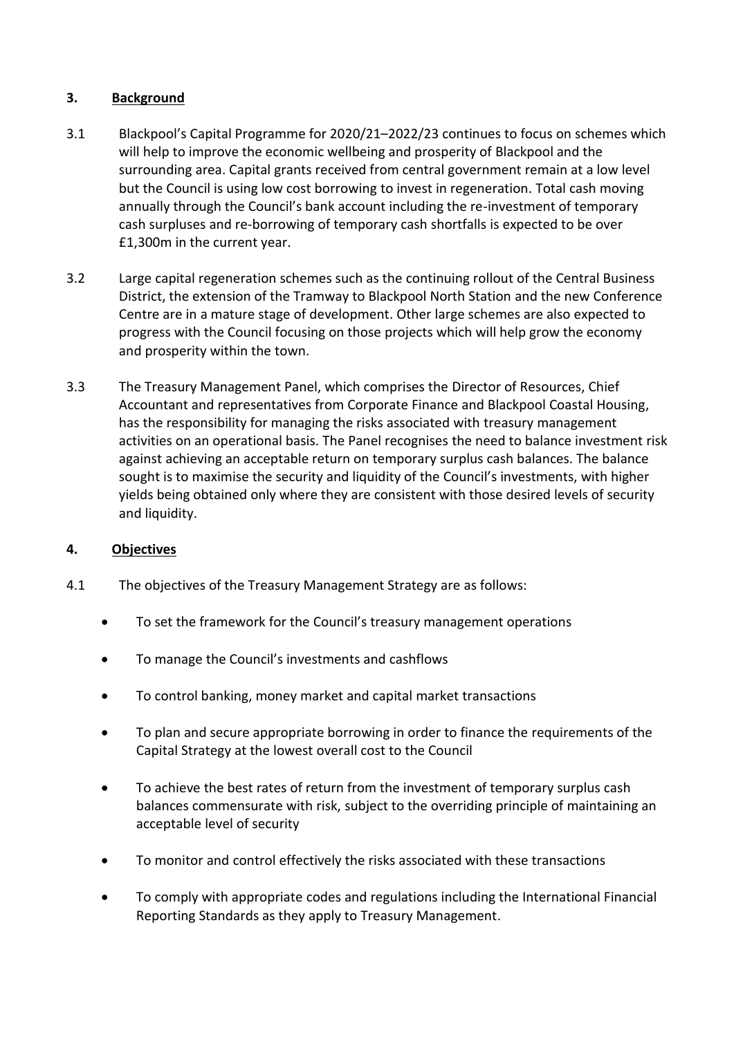# **3. Background**

- 3.1 Blackpool's Capital Programme for 2020/21–2022/23 continues to focus on schemes which will help to improve the economic wellbeing and prosperity of Blackpool and the surrounding area. Capital grants received from central government remain at a low level but the Council is using low cost borrowing to invest in regeneration. Total cash moving annually through the Council's bank account including the re-investment of temporary cash surpluses and re-borrowing of temporary cash shortfalls is expected to be over £1,300m in the current year.
- 3.2 Large capital regeneration schemes such as the continuing rollout of the Central Business District, the extension of the Tramway to Blackpool North Station and the new Conference Centre are in a mature stage of development. Other large schemes are also expected to progress with the Council focusing on those projects which will help grow the economy and prosperity within the town.
- 3.3 The Treasury Management Panel, which comprises the Director of Resources, Chief Accountant and representatives from Corporate Finance and Blackpool Coastal Housing, has the responsibility for managing the risks associated with treasury management activities on an operational basis. The Panel recognises the need to balance investment risk against achieving an acceptable return on temporary surplus cash balances. The balance sought is to maximise the security and liquidity of the Council's investments, with higher yields being obtained only where they are consistent with those desired levels of security and liquidity.

## **4. Objectives**

- 4.1 The objectives of the Treasury Management Strategy are as follows:
	- To set the framework for the Council's treasury management operations
	- To manage the Council's investments and cashflows
	- To control banking, money market and capital market transactions
	- To plan and secure appropriate borrowing in order to finance the requirements of the Capital Strategy at the lowest overall cost to the Council
	- To achieve the best rates of return from the investment of temporary surplus cash balances commensurate with risk, subject to the overriding principle of maintaining an acceptable level of security
	- To monitor and control effectively the risks associated with these transactions
	- To comply with appropriate codes and regulations including the International Financial Reporting Standards as they apply to Treasury Management.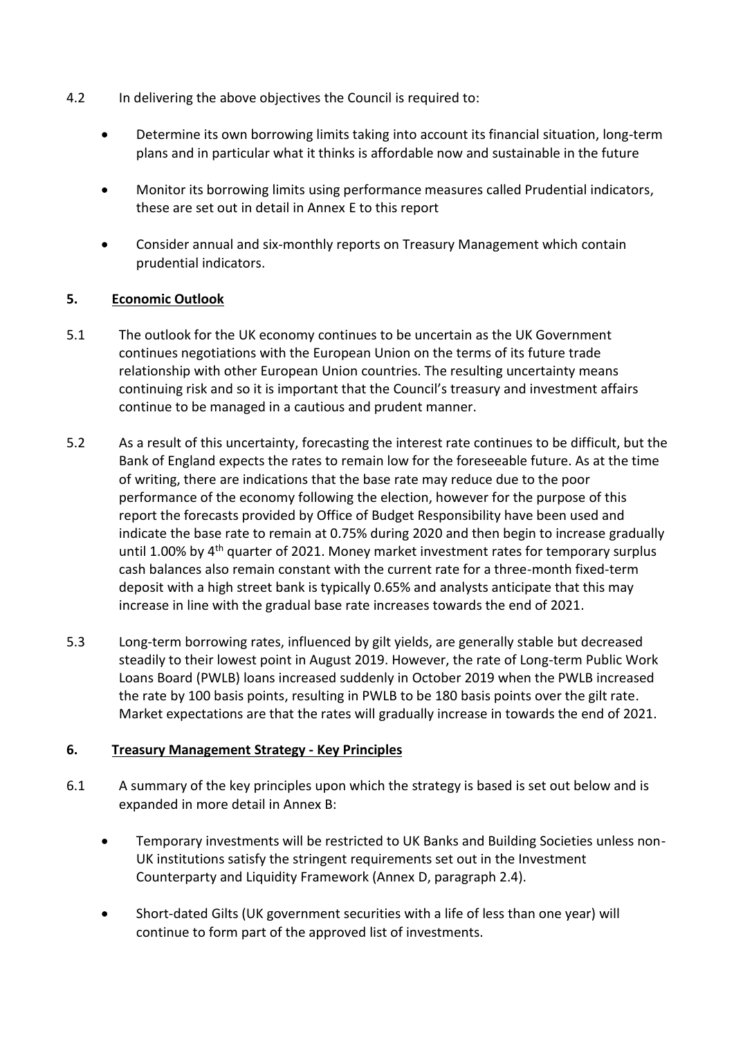- 4.2 In delivering the above objectives the Council is required to:
	- Determine its own borrowing limits taking into account its financial situation, long-term plans and in particular what it thinks is affordable now and sustainable in the future
	- Monitor its borrowing limits using performance measures called Prudential indicators, these are set out in detail in Annex E to this report
	- Consider annual and six-monthly reports on Treasury Management which contain prudential indicators.

## **5. Economic Outlook**

- 5.1 The outlook for the UK economy continues to be uncertain as the UK Government continues negotiations with the European Union on the terms of its future trade relationship with other European Union countries. The resulting uncertainty means continuing risk and so it is important that the Council's treasury and investment affairs continue to be managed in a cautious and prudent manner.
- 5.2 As a result of this uncertainty, forecasting the interest rate continues to be difficult, but the Bank of England expects the rates to remain low for the foreseeable future. As at the time of writing, there are indications that the base rate may reduce due to the poor performance of the economy following the election, however for the purpose of this report the forecasts provided by Office of Budget Responsibility have been used and indicate the base rate to remain at 0.75% during 2020 and then begin to increase gradually until 1.00% by  $4<sup>th</sup>$  quarter of 2021. Money market investment rates for temporary surplus cash balances also remain constant with the current rate for a three-month fixed-term deposit with a high street bank is typically 0.65% and analysts anticipate that this may increase in line with the gradual base rate increases towards the end of 2021.
- 5.3 Long-term borrowing rates, influenced by gilt yields, are generally stable but decreased steadily to their lowest point in August 2019. However, the rate of Long-term Public Work Loans Board (PWLB) loans increased suddenly in October 2019 when the PWLB increased the rate by 100 basis points, resulting in PWLB to be 180 basis points over the gilt rate. Market expectations are that the rates will gradually increase in towards the end of 2021.

#### **6. Treasury Management Strategy - Key Principles**

- 6.1 A summary of the key principles upon which the strategy is based is set out below and is expanded in more detail in Annex B:
	- Temporary investments will be restricted to UK Banks and Building Societies unless non-UK institutions satisfy the stringent requirements set out in the Investment Counterparty and Liquidity Framework (Annex D, paragraph 2.4).
	- Short-dated Gilts (UK government securities with a life of less than one year) will continue to form part of the approved list of investments.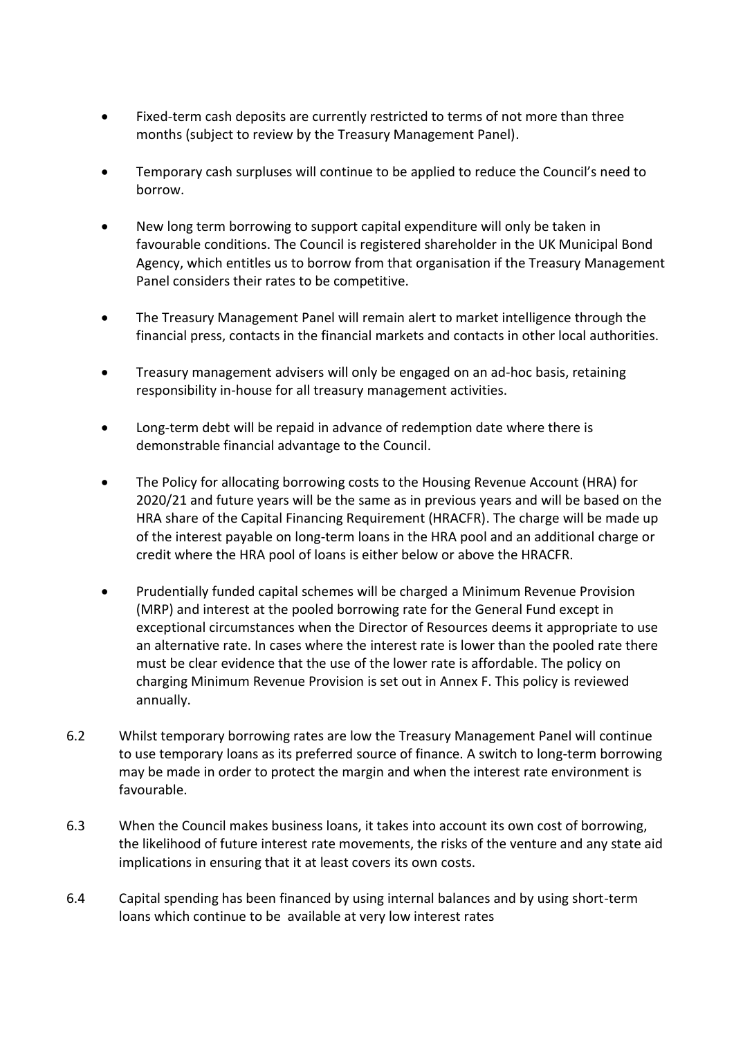- Fixed-term cash deposits are currently restricted to terms of not more than three months (subject to review by the Treasury Management Panel).
- Temporary cash surpluses will continue to be applied to reduce the Council's need to borrow.
- New long term borrowing to support capital expenditure will only be taken in favourable conditions. The Council is registered shareholder in the UK Municipal Bond Agency, which entitles us to borrow from that organisation if the Treasury Management Panel considers their rates to be competitive.
- The Treasury Management Panel will remain alert to market intelligence through the financial press, contacts in the financial markets and contacts in other local authorities.
- Treasury management advisers will only be engaged on an ad-hoc basis, retaining responsibility in-house for all treasury management activities.
- Long-term debt will be repaid in advance of redemption date where there is demonstrable financial advantage to the Council.
- The Policy for allocating borrowing costs to the Housing Revenue Account (HRA) for 2020/21 and future years will be the same as in previous years and will be based on the HRA share of the Capital Financing Requirement (HRACFR). The charge will be made up of the interest payable on long-term loans in the HRA pool and an additional charge or credit where the HRA pool of loans is either below or above the HRACFR.
- Prudentially funded capital schemes will be charged a Minimum Revenue Provision (MRP) and interest at the pooled borrowing rate for the General Fund except in exceptional circumstances when the Director of Resources deems it appropriate to use an alternative rate. In cases where the interest rate is lower than the pooled rate there must be clear evidence that the use of the lower rate is affordable. The policy on charging Minimum Revenue Provision is set out in Annex F. This policy is reviewed annually.
- 6.2 Whilst temporary borrowing rates are low the Treasury Management Panel will continue to use temporary loans as its preferred source of finance. A switch to long-term borrowing may be made in order to protect the margin and when the interest rate environment is favourable.
- 6.3 When the Council makes business loans, it takes into account its own cost of borrowing, the likelihood of future interest rate movements, the risks of the venture and any state aid implications in ensuring that it at least covers its own costs.
- 6.4 Capital spending has been financed by using internal balances and by using short-term loans which continue to be available at very low interest rates